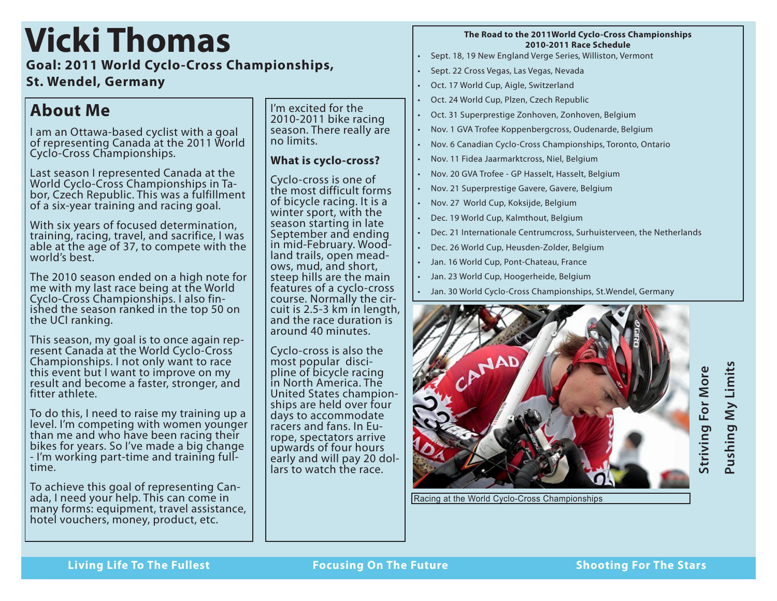# **Vicki Thomas**

**Goal: 2011 World Cyclo-Cross Championships,** 

### **St. Wendel, Germany**

## **About Me**

I am an Ottawa-based cyclist with a goal of representing Canada at the 2011 World Cyclo-Cross Championships.

Last season I represented Canada at the<br>World Cyclo-Cross Championships in Tabor, Czech Republic. This was a fulfillment of a six-year training and racing goal.

With six years of focused determination, training, racing, travel, and sacrifice, I was able at the age of 37, to compete with the world's best.

The 2010 season ended on a high note for me with my last race being at the World<br>Cyclo-Cross Championships. I also finished the season ranked in the top 50 on the UCI ranking.

This season, my goal is to once again rep- resent Canada at the World Cyclo-Cross Championships. I not only want to race this event but I want to improve on my result and become a faster, stronger, and fitter athlete.

To do this, I need to raise my training up a level. I'm competing with women younger than me and who have been racing their bikes for years. So I've made a big change - I'm working part-time and training fulltime.

To achieve this goal of representing Can- ada, I need your help. This can come in many forms: equipment, travel assistance, hotel vouchers, money, product, etc.

I'm excited for the 2010-2011 bike racing season. There really are no limits.

### **What is cyclo-cross?**

Cyclo-cross is one of the most difficult forms of bicycle racing. It is a winter sport, with the season starting in late September and ending in mid-February. Wood-<br>land trails, open mead-<br>ows, mud, and short, steep hills are the main features of a cyclo-cross course. Normally the cir- cuit is 2.5-3 km in length, and the race duration is around 40 minutes.

Cyclo-cross is also the pline of bicycle racing in North America. The ships are held over four days to accommodate racers and fans. In Eu- rope, spectators arrive upwards of four hours early and will pay 20 dol- lars to watch the race.

#### **The Road to the 2011World Cyclo-Cross Championships 2010-2011 Race Schedule**

- • Sept. 18, 19 New England Verge Series, Williston, Vermont
- Sept. 22 Cross Vegas, Las Vegas, Nevada
- Oct. 17 World Cup, Aigle, Switzerland
- Oct. 24 World Cup, Plzen, Czech Republic
- • Oct. 31 Superprestige Zonhoven, Zonhoven, Belgium
- • Nov. 1 GVA Trofee Koppenbergcross, Oudenarde, Belgium
- Nov. 6 Canadian Cyclo-Cross Championships, Toronto, Ontario
- • Nov. 11 Fidea Jaarmarktcross, Niel, Belgium
- Nov. 20 GVA Trofee GP Hasselt, Hasselt, Belgium
- Nov. 21 Superprestige Gavere, Gavere, Belgium
- • Nov. 27 World Cup, Koksijde, Belgium
- Dec. 19 World Cup, Kalmthout, Belgium
- Dec. 21 Internationale Centrumcross, Surhuisterveen, the Netherlands
- Dec. 26 World Cup, Heusden-Zolder, Belgium
- • Jan. 16 World Cup, Pont-Chateau, France
- • Jan. 23 World Cup, Hoogerheide, Belgium
- Jan. 30 World Cyclo-Cross Championships, St. Wendel, Germany



Racing at the World Cyclo-Cross Championships

Pushing My Limits **Pushing My Limits Striving For More**  Striving For More